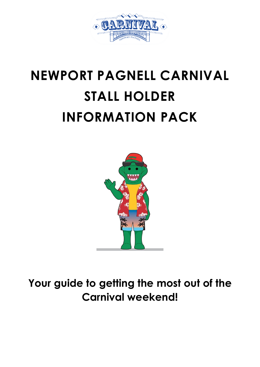

# **NEWPORT PAGNELL CARNIVAL STALL HOLDER INFORMATION PACK**



**Your guide to getting the most out of the Carnival weekend!**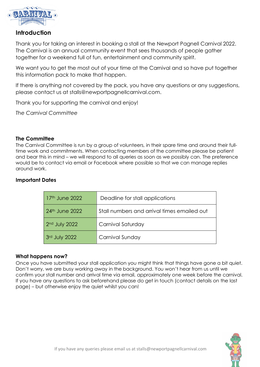

# **Introduction**

Thank you for taking an interest in booking a stall at the Newport Pagnell Carnival 2022. The Carnival is an annual community event that sees thousands of people gather together for a weekend full of fun, entertainment and community spirit.

We want you to get the most out of your time at the Carnival and so have put together this information pack to make that happen.

If there is anything not covered by the pack, you have any questions or any suggestions, please contact us at stalls@newportpagnellcarnival.com.

Thank you for supporting the carnival and enjoy!

*The Carnival Committee*

# **The Committee**

The Carnival Committee is run by a group of volunteers, in their spare time and around their fulltime work and commitments. When contacting members of the committee please be patient and bear this in mind – we will respond to all queries as soon as we possibly can. The preference would be to contact via email or Facebook where possible so that we can manage replies around work.

# **Important Dates**

| 17th June 2022             | Deadline for stall applications             |
|----------------------------|---------------------------------------------|
| 24 <sup>th</sup> June 2022 | Stall numbers and arrival times emailed out |
| $2nd$ July 2022            | Carnival Saturday                           |
| 3rd July 2022              | Carnival Sunday                             |

#### **What happens now?**

Once you have submitted your stall application you might think that things have gone a bit quiet. Don't worry, we are busy working away in the background. You won't hear from us until we confirm your stall number and arrival time via email, approximately one week before the carnival. If you have any questions to ask beforehand please do get in touch (contact details on the last page) – but otherwise enjoy the quiet whilst you can!

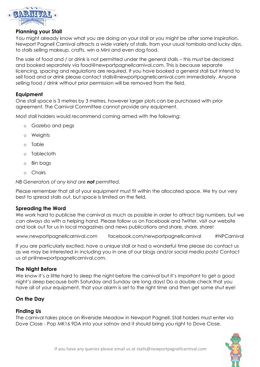

### **Planning your Stall**

You might already know what you are doing on your stall or you might be after some inspiration. Newport Pagnell Carnival attracts a wide variety of stalls, from your usual tombola and lucky dips, to stalls selling makeup, crafts, win a Mini and even dog food.

The sale of food and / or drink is not permitted under the general stalls – this must be declared and booked separately via food@newportpagnellcarnival.com. This is because separate licencing, spacing and regulations are required. If you have booked a general stall but intend to sell food and or drink please contact stalls@newportpagnellcarnival.com immediately. Anyone selling food / drink without prior permission will be removed from the field.

# **Equipment**

One stall space is 3 metres by 3 metres, however larger plots can be purchased with prior agreement. The Carnival Committee cannot provide any equipment.

Most stall holders would recommend coming armed with the following:

- o Gazebo and pegs
- o Weights
- o Table
- o Tablecloth
- o Bin bags
- o Chairs

*NB Generators of any kind are not permitted.*

Please remember that all of your equipment must fit within the allocated space. We try our very best to spread stalls out, but space is limited on the field.

# **Spreading the Word**

We work hard to publicise the carnival as much as possible in order to attract big numbers, but we can always do with a helping hand. Please follow us on Facebook and Twitter, visit our website and look out for us in local magazines and news publications and share, share, share!

www.newportpagnellcarnival.com facebook.com/newportpagnellcarnival #NPCarnival

If you are particularly excited, have a unique stall or had a wonderful time please do contact us as we may be interested in including you in one of our blogs and/or social media posts! Contact us at pr@newportpagnellcarnival.com.

#### **The Night Before**

We know it's a little hard to sleep the night before the carnival but it's important to get a good night's sleep because both Saturday and Sunday are long days! Do a double check that you have all of your equipment, that your alarm is set to the right time and then get some shut eye!

# **On the Day**

#### **Finding Us**

The carnival takes place on Riverside Meadow in Newport Pagnell. Stall holders must enter via Dove Close - Pop MK16 9DA into your satnav and it should bring you right to Dove Close.

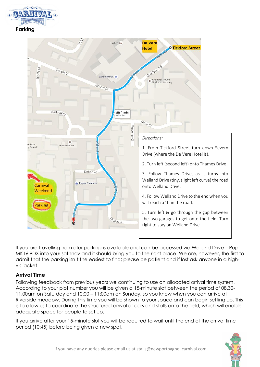



If you are travelling from afar parking is available and can be accessed via Welland Drive – Pop MK16 9DX into your satnnav and it should bring you to the right place. We are, however, the first to admit that the parking isn't the easiest to find; please be patient and if lost ask anyone in a highvis jacket.

# **Arrival Time**

Following feedback from previous years we continuing to use an allocated arrival time system. According to your plot number you will be given a 15-minute slot between the period of 08.30- 11.00am on Saturday and 10:00 – 11:00am on Sunday, so you know when you can arrive at Riverside meadow. During this time you will be shown to your space and can begin setting up. This is to allow us to coordinate the structured arrival of cars and stalls onto the field, which will enable adequate space for people to set up.

If you arrive after your 15-minute slot you will be required to wait until the end of the arrival time period (10:45) before being given a new spot.